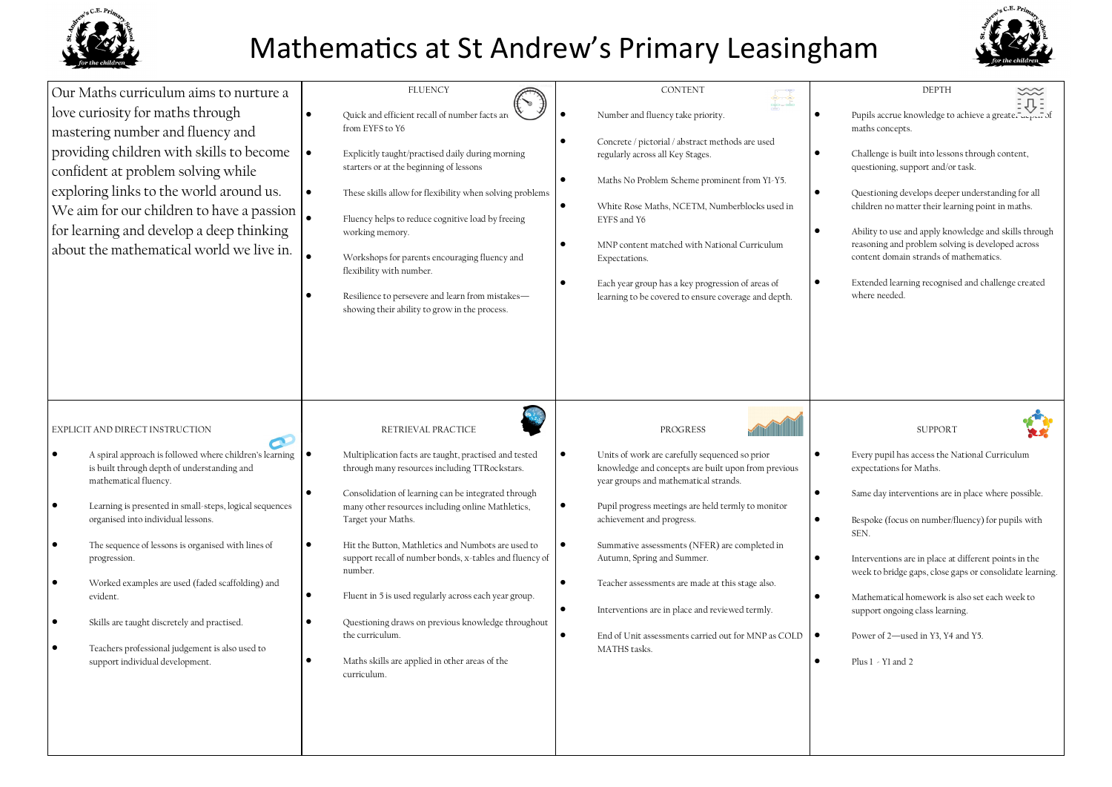

# Mathematics at St Andrew's Primary Leasingham



| Our Maths curriculum aims to nurture a<br>love curiosity for maths through<br>mastering number and fluency and<br>providing children with skills to become<br>confident at problem solving while<br>exploring links to the world around us.<br>We aim for our children to have a passion<br>for learning and develop a deep thinking<br>about the mathematical world we live in.                                                                                                                                                               | <b>FLUENCY</b><br>Quick and efficient recall of number facts are<br>from EYFS to Y6<br>$\bullet$<br>Explicitly taught/practised daily during morning<br>starters or at the beginning of lessons<br>$\bullet$<br>These skills allow for flexibility when solving problems<br>Fluency helps to reduce cognitive load by freeing<br>working memory.<br>Workshops for parents encouraging fluency and<br>flexibility with number.<br>Resilience to persevere and learn from mistakes-<br>showing their ability to grow in the process.                                                                                      | <b>CONTENT</b><br>Number and fluency take priority.<br>$\bullet$<br>Concrete / pictorial / abstract methods are used<br>regularly across all Key Stages.<br>$\bullet$<br>Maths No Problem Scheme prominent from YI-Y5.<br>$\bullet$<br>White Rose Maths, NCETM, Numberblocks used in<br>EYFS and Y6<br>$\bullet$<br>MNP content matched with National Curriculum<br>Expectations.<br>$\bullet$<br>Each year group has a key progression of areas of<br>learning to be covered to ensure coverage and depth.                                                                              | <b>DEPTH</b><br>Pupils accrue knowledge to achieve a greater upon of<br>maths concepts.<br>Challenge is built into lessons through content,<br>questioning, support and/or task.<br>$\bullet$<br>Questioning develops deeper understanding for all<br>children no matter their learning point in maths.<br>$\bullet$<br>Ability to use and apply knowledge and skills through<br>reasoning and problem solving is developed across<br>content domain strands of mathematics.<br>$\bullet$<br>Extended learning recognised and challenge created<br>where needed. |
|------------------------------------------------------------------------------------------------------------------------------------------------------------------------------------------------------------------------------------------------------------------------------------------------------------------------------------------------------------------------------------------------------------------------------------------------------------------------------------------------------------------------------------------------|-------------------------------------------------------------------------------------------------------------------------------------------------------------------------------------------------------------------------------------------------------------------------------------------------------------------------------------------------------------------------------------------------------------------------------------------------------------------------------------------------------------------------------------------------------------------------------------------------------------------------|------------------------------------------------------------------------------------------------------------------------------------------------------------------------------------------------------------------------------------------------------------------------------------------------------------------------------------------------------------------------------------------------------------------------------------------------------------------------------------------------------------------------------------------------------------------------------------------|------------------------------------------------------------------------------------------------------------------------------------------------------------------------------------------------------------------------------------------------------------------------------------------------------------------------------------------------------------------------------------------------------------------------------------------------------------------------------------------------------------------------------------------------------------------|
| EXPLICIT AND DIRECT INSTRUCTION<br>A spiral approach is followed where children's learning<br>is built through depth of understanding and<br>mathematical fluency.<br>Learning is presented in small-steps, logical sequences<br>organised into individual lessons.<br>The sequence of lessons is organised with lines of<br>progression.<br>Worked examples are used (faded scaffolding) and<br>evident.<br>Skills are taught discretely and practised.<br>Teachers professional judgement is also used to<br>support individual development. | RETRIEVAL PRACTICE<br>$\bullet$<br>Multiplication facts are taught, practised and tested<br>through many resources including TTRockstars.<br>Consolidation of learning can be integrated through<br>many other resources including online Mathletics,<br>Target your Maths.<br>$\bullet$<br>Hit the Button, Mathletics and Numbots are used to<br>support recall of number bonds, x-tables and fluency of<br>number.<br>Fluent in 5 is used regularly across each year group.<br>Questioning draws on previous knowledge throughout<br>the curriculum.<br>Maths skills are applied in other areas of the<br>curriculum. | PROGRESS<br>$\bullet$<br>Units of work are carefully sequenced so prior<br>knowledge and concepts are built upon from previous<br>year groups and mathematical strands.<br>$\bullet$<br>Pupil progress meetings are held termly to monitor<br>achievement and progress.<br>$\bullet$<br>Summative assessments (NFER) are completed in<br>Autumn, Spring and Summer.<br>$\bullet$<br>Teacher assessments are made at this stage also.<br>$\bullet$<br>Interventions are in place and reviewed termly.<br>$\bullet$<br>End of Unit assessments carried out for MNP as COLD<br>MATHS tasks. | <b>SUPPORT</b><br>$\bullet$<br>Every pupil has access the National Curriculum<br>expectations for Maths.<br>Same day interventions are in place where possible.<br>$\bullet$<br>Bespoke (focus on number/fluency) for pupils with<br>SEN.<br>Interventions are in place at different points in the<br>$\bullet$<br>week to bridge gaps, close gaps or consolidate learning.<br>$\bullet$<br>Mathematical homework is also set each week to<br>support ongoing class learning.<br>Power of 2-used in Y3, Y4 and Y5.<br>$\bullet$<br>Plus 1 - Yl and 2             |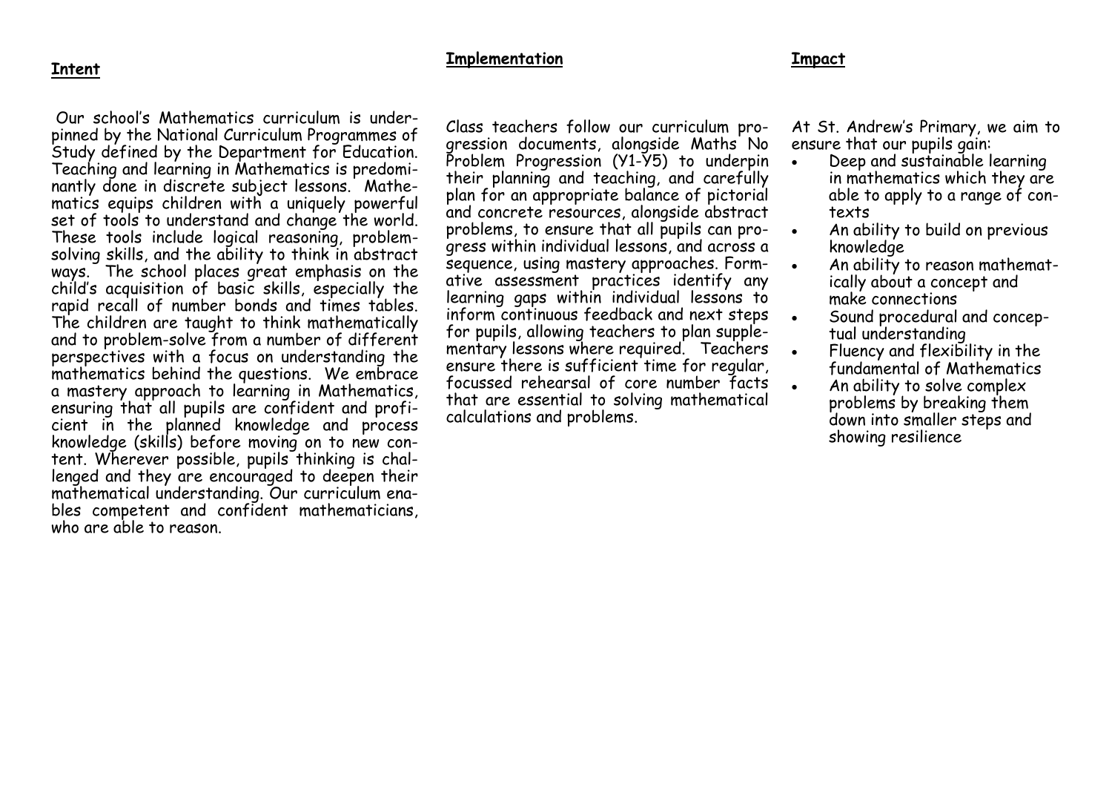### **Intent**

### **Implementation**

#### **Impact**

Our school's Mathematics curriculum is underpinned by the National Curriculum Programmes of Study defined by the Department for Education. Teaching and learning in Mathematics is predominantly done in discrete subject lessons. Mathematics equips children with a uniquely powerful set of tools to understand and change the world. These tools include logical reasoning, problemsolving skills, and the ability to think in abstract ways. The school places great emphasis on the child's acquisition of basic skills, especially the rapid recall of number bonds and times tables. The children are taught to think mathematically and to problem-solve from a number of different perspectives with a focus on understanding the mathematics behind the questions. We embrace a mastery approach to learning in Mathematics, ensuring that all pupils are confident and proficient in the planned knowledge and process knowledge (skills) before moving on to new content. Wherever possible, pupils thinking is challenged and they are encouraged to deepen their mathematical understanding. Our curriculum enables competent and confident mathematicians, who are able to reason.

Class teachers follow our curriculum progression documents, alongside Maths No Problem Progression (Y1-Y5) to underpin their planning and teaching, and carefully plan for an appropriate balance of pictorial and concrete resources, alongside abstract problems, to ensure that all pupils can progress within individual lessons, and across a sequence, using mastery approaches. Formative assessment practices identify any learning gaps within individual lessons to inform continuous feedback and next steps for pupils, allowing teachers to plan supplementary lessons where required. Teachers ensure there is sufficient time for regular, focussed rehearsal of core number facts that are essential to solving mathematical calculations and problems.

At St. Andrew's Primary, we aim to ensure that our pupils gain:

- Deep and sustainable learning in mathematics which they are able to apply to a range of contexts
- An ability to build on previous knowledge
- An ability to reason mathematically about a concept and make connections
- Sound procedural and conceptual understanding
- Fluency and flexibility in the fundamental of Mathematics
- An ability to solve complex problems by breaking them down into smaller steps and showing resilience